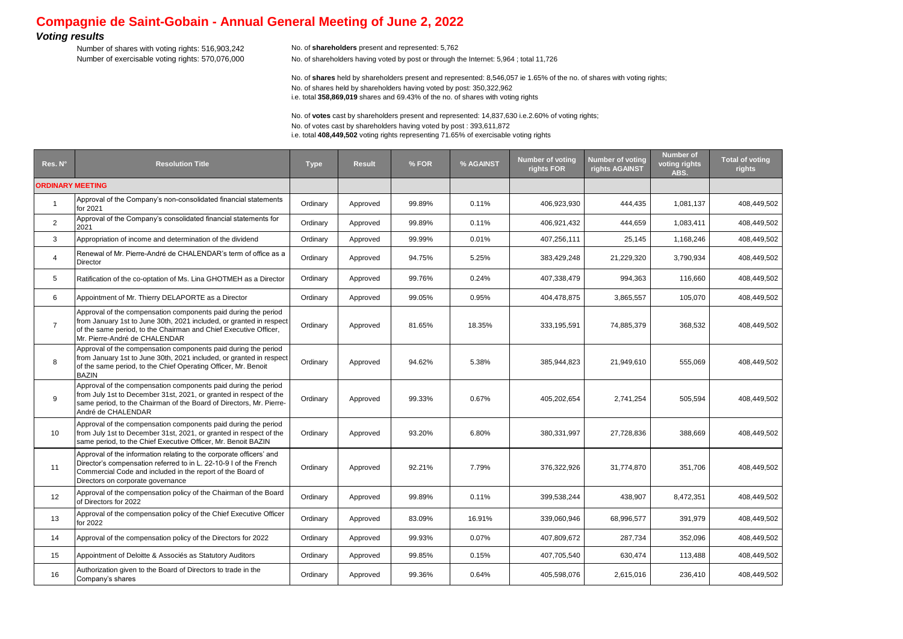## **Compagnie de Saint-Gobain - Annual General Meeting of June 2, 2022**

## *Voting results*

Number of shares with voting rights: 516,903,242 No. of **shareholders** present and represented: 5,762 Number of exercisable voting rights: 570,076,000 No. of shareholders having voted by post or through the Internet: 5,964 ; total 11,726

No. of **shares** held by shareholders present and represented: 8,546,057 ie 1.65% of the no. of shares with voting rights; No. of shares held by shareholders having voted by post: 350,322,962 i.e. total **358,869,019** shares and 69.43% of the no. of shares with voting rights

No. of **votes** cast by shareholders present and represented: 14,837,630 i.e.2.60% of voting rights; No. of votes cast by shareholders having voted by post : 393,611,872 i.e. total **408,449,502** voting rights representing 71.65% of exercisable voting rights

| Res. N°                 | <b>Resolution Title</b>                                                                                                                                                                                                                     | <b>Type</b> | <b>Result</b> | % FOR  | % AGAINST | <b>Number of voting</b><br>rights FOR | <b>Number of voting</b><br>rights AGAINST | <b>Number</b> of<br>voting rights<br>ABS. | <b>Total of voting</b><br>rights |
|-------------------------|---------------------------------------------------------------------------------------------------------------------------------------------------------------------------------------------------------------------------------------------|-------------|---------------|--------|-----------|---------------------------------------|-------------------------------------------|-------------------------------------------|----------------------------------|
| <b>ORDINARY MEETING</b> |                                                                                                                                                                                                                                             |             |               |        |           |                                       |                                           |                                           |                                  |
| $\overline{1}$          | Approval of the Company's non-consolidated financial statements<br>for 2021                                                                                                                                                                 | Ordinary    | Approved      | 99.89% | 0.11%     | 406,923,930                           | 444,435                                   | 1,081,137                                 | 408,449,502                      |
| 2                       | Approval of the Company's consolidated financial statements for<br>2021                                                                                                                                                                     | Ordinary    | Approved      | 99.89% | 0.11%     | 406,921,432                           | 444,659                                   | 1,083,411                                 | 408,449,502                      |
| 3                       | Appropriation of income and determination of the dividend                                                                                                                                                                                   | Ordinary    | Approved      | 99.99% | 0.01%     | 407,256,111                           | 25,145                                    | 1,168,246                                 | 408,449,502                      |
| 4                       | Renewal of Mr. Pierre-André de CHALENDAR's term of office as a<br><b>Director</b>                                                                                                                                                           | Ordinary    | Approved      | 94.75% | 5.25%     | 383,429,248                           | 21,229,320                                | 3,790,934                                 | 408,449,502                      |
| 5                       | Ratification of the co-optation of Ms. Lina GHOTMEH as a Director                                                                                                                                                                           | Ordinary    | Approved      | 99.76% | 0.24%     | 407,338,479                           | 994,363                                   | 116,660                                   | 408,449,502                      |
| 6                       | Appointment of Mr. Thierry DELAPORTE as a Director                                                                                                                                                                                          | Ordinary    | Approved      | 99.05% | 0.95%     | 404,478,875                           | 3,865,557                                 | 105,070                                   | 408,449,502                      |
| $\overline{7}$          | Approval of the compensation components paid during the period<br>from January 1st to June 30th, 2021 included, or granted in respect<br>of the same period, to the Chairman and Chief Executive Officer,<br>Mr. Pierre-André de CHALENDAR  | Ordinary    | Approved      | 81.65% | 18.35%    | 333,195,591                           | 74,885,379                                | 368,532                                   | 408,449,502                      |
| 8                       | Approval of the compensation components paid during the period<br>from January 1st to June 30th, 2021 included, or granted in respect<br>of the same period, to the Chief Operating Officer, Mr. Benoit<br><b>BAZIN</b>                     | Ordinary    | Approved      | 94.62% | 5.38%     | 385,944,823                           | 21,949,610                                | 555,069                                   | 408,449,502                      |
| 9                       | Approval of the compensation components paid during the period<br>from July 1st to December 31st, 2021, or granted in respect of the<br>same period, to the Chairman of the Board of Directors, Mr. Pierre-<br>André de CHALENDAR           | Ordinary    | Approved      | 99.33% | 0.67%     | 405,202,654                           | 2,741,254                                 | 505,594                                   | 408,449,502                      |
| 10                      | Approval of the compensation components paid during the period<br>from July 1st to December 31st, 2021, or granted in respect of the<br>same period, to the Chief Executive Officer, Mr. Benoit BAZIN                                       | Ordinary    | Approved      | 93.20% | 6.80%     | 380,331,997                           | 27,728,836                                | 388,669                                   | 408,449,502                      |
| 11                      | Approval of the information relating to the corporate officers' and<br>Director's compensation referred to in L. 22-10-9 I of the French<br>Commercial Code and included in the report of the Board of<br>Directors on corporate governance | Ordinary    | Approved      | 92.21% | 7.79%     | 376,322,926                           | 31,774,870                                | 351,706                                   | 408,449,502                      |
| 12                      | Approval of the compensation policy of the Chairman of the Board<br>of Directors for 2022                                                                                                                                                   | Ordinary    | Approved      | 99.89% | 0.11%     | 399,538,244                           | 438,907                                   | 8,472,351                                 | 408,449,502                      |
| 13                      | Approval of the compensation policy of the Chief Executive Officer<br>for 2022                                                                                                                                                              | Ordinary    | Approved      | 83.09% | 16.91%    | 339,060,946                           | 68,996,577                                | 391,979                                   | 408,449,502                      |
| 14                      | Approval of the compensation policy of the Directors for 2022                                                                                                                                                                               | Ordinary    | Approved      | 99.93% | 0.07%     | 407,809,672                           | 287,734                                   | 352,096                                   | 408,449,502                      |
| 15                      | Appointment of Deloitte & Associés as Statutory Auditors                                                                                                                                                                                    | Ordinary    | Approved      | 99.85% | 0.15%     | 407,705,540                           | 630,474                                   | 113,488                                   | 408,449,502                      |
| 16                      | Authorization given to the Board of Directors to trade in the<br>Company's shares                                                                                                                                                           | Ordinary    | Approved      | 99.36% | 0.64%     | 405,598,076                           | 2,615,016                                 | 236,410                                   | 408,449,502                      |